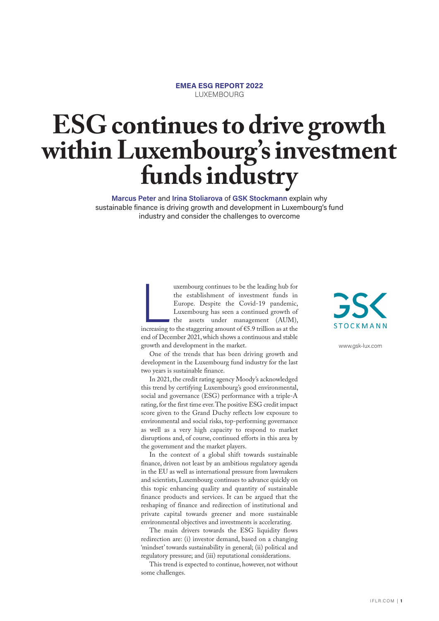#### **EMEA ESG REPORT 2022 EUXEMBOURG**

# **ESG continues to drive growth within Luxembourg's investment funds industry**

**Marcus Peter** and **Irina Stoliarova** of **GSK Stockmann** explain why sustainable finance is driving growth and development in Luxembourg's fund industry and consider the challenges to overcome

> increasing t<br>end of Dece<br>growth and<br>One of<br>development<br>two years is uxembourg continues to be the leading hub for the establishment of investment funds in Europe. Despite the Covid-19 pandemic, Luxembourg has seen a continued growth of the assets under management (AUM), increasing to the staggering amount of €5.9 trillion as at the end of December 2021, which shows a continuous and stable growth and development in the market.

> One of the trends that has been driving growth and development in the Luxembourg fund industry for the last two years is sustainable finance.

> In 2021, the credit rating agency Moody's acknowledged this trend by certifying Luxembourg's good environmental, social and governance (ESG) performance with a triple-A rating, for the first time ever. The positive ESG credit impact score given to the Grand Duchy reflects low exposure to environmental and social risks, top-performing governance as well as a very high capacity to respond to market disruptions and, of course, continued efforts in this area by the government and the market players.

> In the context of a global shift towards sustainable finance, driven not least by an ambitious regulatory agenda in the EU as well as international pressure from lawmakers and scientists, Luxembourg continues to advance quickly on this topic enhancing quality and quantity of sustainable finance products and services. It can be argued that the reshaping of finance and redirection of institutional and private capital towards greener and more sustainable environmental objectives and investments is accelerating.

> The main drivers towards the ESG liquidity flows redirection are: (i) investor demand, based on a changing 'mindset' towards sustainability in general; (ii) political and regulatory pressure; and (iii) reputational considerations.

> This trend is expected to continue, however, not without some challenges.



www.gsk-lux.com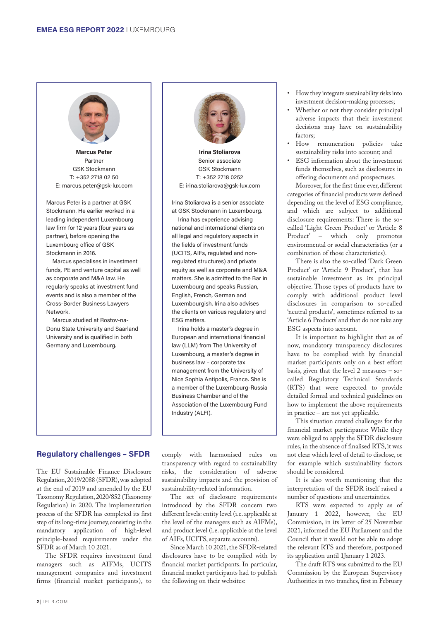

Marcus Peter Partner GSK Stockmann T: +352 2718 02 50 E: marcus.peter@gsk-lux.com

Marcus Peter is a partner at GSK Stockmann. He earlier worked in a leading independent Luxembourg law firm for 12 years (four years as partner), before opening the Luxembourg office of GSK Stockmann in 2016.

Marcus specialises in investment funds, PE and venture capital as well as corporate and M&A law. He regularly speaks at investment fund events and is also a member of the Cross-Border Business Lawyers Network.

Marcus studied at Rostov-na-Donu State University and Saarland University and is qualified in both Germany and Luxembourg.



**Irina Stoliarova Senior associate** GSK Stockmann T: +352 2718 0252 E: irina.stoliarova@gsk-lux.com

Irina Stoliarova is a senior associate at GSK Stockmann in Luxembourg. Irina has experience advising national and international clients on all legal and regulatory aspects in the fields of investment funds (UCITS, AIFs, regulated and nonregulated structures) and private equity as well as corporate and M&A matters. She is admitted to the Bar in Luxembourg and speaks Russian, English, French, German and Luxembourgish. Irina also advises the clients on various regulatory and ESG matters.

Irina holds a master's degree in European and international financial law (LLM) from The University of Luxembourg, a master's degree in business law – corporate tax management from the University of Nice Sophia Antipolis, France. She is a member of the Luxembourg-Russia Business Chamber and of the Association of the Luxembourg Fund Industry (ALFI).

## **Regulatory challenges – SFDR**

The EU Sustainable Finance Disclosure Regulation, 2019/2088 (SFDR), was adopted at the end of 2019 and amended by the EU Taxonomy Regulation, 2020/852 (Taxonomy Regulation) in 2020. The implementation process of the SFDR has completed its first step of its long-time journey, consisting in the mandatory application of high-level principle-based requirements under the SFDR as of March 10 2021.

The SFDR requires investment fund managers such as AIFMs, UCITS management companies and investment firms (financial market participants), to

comply with harmonised rules on transparency with regard to sustainability risks, the consideration of adverse sustainability impacts and the provision of sustainability-related information.

The set of disclosure requirements introduced by the SFDR concern two different levels: entity level (i.e. applicable at the level of the managers such as AIFMs), and product level (i.e. applicable at the level of AIFs, UCITS, separate accounts).

Since March 10 2021, the SFDR-related disclosures have to be complied with by financial market participants. In particular, financial market participants had to publish the following on their websites:

- How they integrate sustainability risks into investment decision-making processes;
- Whether or not they consider principal adverse impacts that their investment decisions may have on sustainability factors;
- How remuneration policies take sustainability risks into account; and
- ESG information about the investment funds themselves, such as disclosures in offering documents and prospectuses.

Moreover, for the first time ever, different categories of financial products were defined depending on the level of ESG compliance, and which are subject to additional disclosure requirements: There is the socalled 'Light Green Product' or 'Article 8 Product' – which only promotes environmental or social characteristics (or a combination of those characteristics).

There is also the so-called 'Dark Green Product' or 'Article 9 Product', that has sustainable investment as its principal objective. Those types of products have to comply with additional product level disclosures in comparison to so-called 'neutral products', sometimes referred to as 'Article 6 Products' and that do not take any ESG aspects into account.

It is important to highlight that as of now, mandatory transparency disclosures have to be complied with by financial market participants only on a best effort basis, given that the level 2 measures – socalled Regulatory Technical Standards (RTS) that were expected to provide detailed formal and technical guidelines on how to implement the above requirements in practice – are not yet applicable.

This situation created challenges for the financial market participants: While they were obliged to apply the SFDR disclosure rules, in the absence of finalised RTS, it was not clear which level of detail to disclose, or for example which sustainability factors should be considered.

It is also worth mentioning that the interpretation of the SFDR itself raised a number of questions and uncertainties.

RTS were expected to apply as of January 1 2022, however, the EU Commission, in its letter of 25 November 2021, informed the EU Parliament and the Council that it would not be able to adopt the relevant RTS and therefore, postponed its application until 1January 1 2023.

The draft RTS was submitted to the EU Commission by the European Supervisory Authorities in two tranches, first in February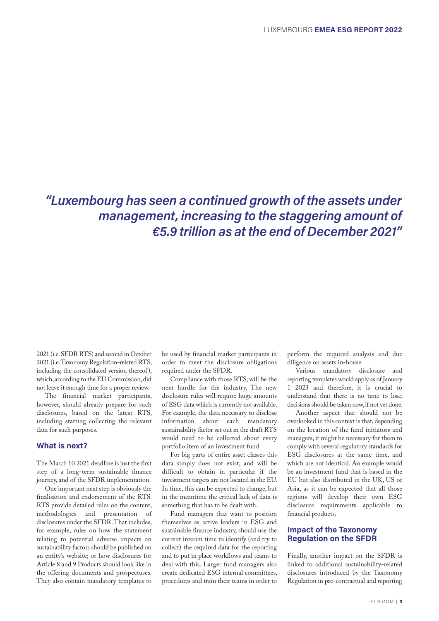## *"Luxembourg has seen a continued growth of the assets under management, increasing to the staggering amount of €5.9 trillion as at the end of December 2021"*

2021 (i.e. SFDR RTS) and second in October 2021 (i.e. Taxonomy Regulation-related RTS, including the consolidated version thereof), which, according to the EU Commission, did not leave it enough time for a proper review.

The financial market participants, however, should already prepare for such disclosures, based on the latest RTS, including starting collecting the relevant data for such purposes.

#### What is next?

The March 10 2021 deadline is just the first step of a long-term sustainable finance journey, and of the SFDR implementation.

One important next step is obviously the finalisation and endorsement of the RTS. RTS provide detailed rules on the content, methodologies and presentation of disclosures under the SFDR. That includes, for example, rules on how the statement relating to potential adverse impacts on sustainability factors should be published on an entity's website; or how disclosures for Article 8 and 9 Products should look like in the offering documents and prospectuses. They also contain mandatory templates to

be used by financial market participants in order to meet the disclosure obligations required under the SFDR.

Compliance with those RTS, will be the next hurdle for the industry. The new disclosure rules will require huge amounts of ESG data which is currently not available. For example, the data necessary to disclose information about each mandatory sustainability factor set out in the draft RTS would need to be collected about every portfolio item of an investment fund.

For big parts of entire asset classes this data simply does not exist, and will be difficult to obtain in particular if the investment targets are not located in the EU. In time, this can be expected to change, but in the meantime the critical lack of data is something that has to be dealt with.

Fund managers that want to position themselves as active leaders in ESG and sustainable finance industry, should use the current interim time to identify (and try to collect) the required data for the reporting and to put in place workflows and teams to deal with this. Larger fund managers also create dedicated ESG internal committees, procedures and train their teams in order to

perform the required analysis and due diligence on assets in-house.

Various mandatory disclosure and reporting templates would apply as of January 1 2023 and therefore, it is crucial to understand that there is no time to lose, decisions should be taken now, if not yet done.

Another aspect that should not be overlooked in this context is that, depending on the location of the fund initiators and managers, it might be necessary for them to comply with several regulatory standards for ESG disclosures at the same time, and which are not identical. An example would be an investment fund that is based in the EU but also distributed in the UK, US or Asia, as it can be expected that all those regions will develop their own ESG disclosure requirements applicable to financial products.

### **Impact of the Taxonomy Regulation on the SFDR**

Finally, another impact on the SFDR is linked to additional sustainability-related disclosures introduced by the Taxonomy Regulation in pre-contractual and reporting